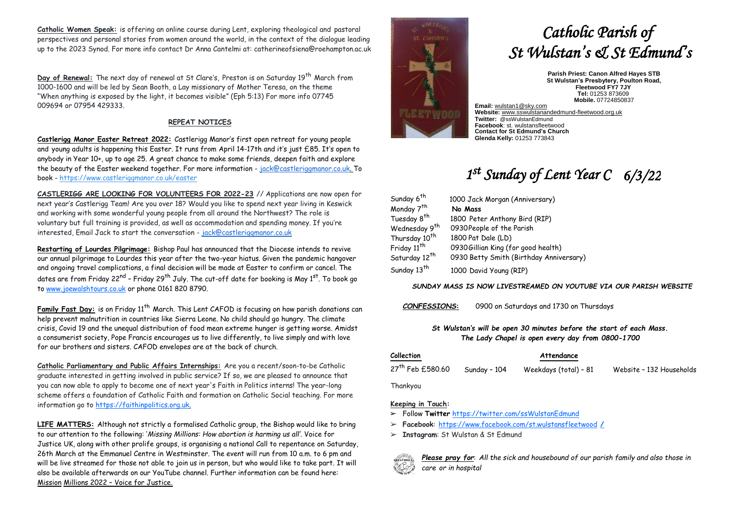**Catholic Women Speak:** is offering an online course during Lent, exploring theological and pastoral perspectives and personal stories from women around the world, in the context of the dialogue leading up to the 2023 Synod. For more info contact Dr Anna Cantelmi at: catherineofsiena@roehampton.ac.uk

**Day of Renewal:** The next day of renewal at St Clare's, Preston is on Saturday 19<sup>th</sup> March from 1000-1600 and will be led by Sean Booth, a Lay missionary of Mother Teresa, on the theme "When anything is exposed by the light, it becomes visible" (Eph 5:13) For more info 07745 009694 or 07954 429333.

# **REPEAT NOTICES**

**Castlerigg Manor Easter Retreat 2022:** Castlerigg Manor's first open retreat for young people and young adults is happening this Easter. It runs from April 14-17th and it's just £85. It's open to anybody in Year 10+, up to age 25. A great chance to make some friends, deepen faith and explore the beauty of the Easter weekend together. For more information - [jack@castleriggmanor.co.uk. T](mailto:jack@castleriggmanor.co.uk)o book - <https://www.castleriggmanor.co.uk/easter>

**CASTLERIGG ARE LOOKING FOR VOLUNTEERS FOR 2022-23** // Applications are now open for next year's Castlerigg Team! Are you over 18? Would you like to spend next year living in Keswick and working with some wonderful young people from all around the Northwest? The role is voluntary but full training is provided, as well as accommodation and spending money. If you're interested, Email Jack to start the conversation - [jack@castleriggmanor.co.uk](mailto:jack@castleriggmanor.co.uk)

**Restarting of Lourdes Pilgrimage:** Bishop Paul has announced that the Diocese intends to revive our annual pilgrimage to Lourdes this year after the two-year hiatus. Given the pandemic hangover and ongoing travel complications, a final decision will be made at Easter to confirm or cancel. The dates are from Friday 22<sup>nd</sup> – Friday 29<sup>th</sup> July. The cut-off date for booking is May 1<sup>st</sup>. To book go t[o www.joewalshtours.co.uk](http://www.joewalshtours.co.uk/) or phone 0161 820 8790.

**Family Fast Day:** is on Friday 11<sup>th</sup> March. This Lent CAFOD is focusing on how parish donations can help prevent malnutrition in countries like Sierra Leone. No child should go hungry. The climate crisis, Covid 19 and the unequal distribution of food mean extreme hunger is getting worse. Amidst a consumerist society, Pope Francis encourages us to live differently, to live simply and with love for our brothers and sisters. CAFOD envelopes are at the back of church.

**Catholic Parliamentary and Public Affairs Internships:** Are you a recent/soon-to-be Catholic graduate interested in getting involved in public service? If so, we are pleased to announce that you can now able to apply to become one of next year's Faith in Politics interns! The year-long scheme offers a foundation of Catholic Faith and formation on Catholic Social teaching. For more information go to [https://faithinpolitics.org.uk.](https://faithinpolitics.org.uk/)

**LIFE MATTERS:** Although not strictly a formalised Catholic group, the Bishop would like to bring to our attention to the following: '*Missing Millions: How abortion is harming us all'.* Voice for Justice UK, along with other prolife groups, is organising a national Call to repentance on Saturday, 26th March at the Emmanuel Centre in Westminster. The event will run from 10 a.m. to 6 pm and will be live streamed for those not able to join us in person, but who would like to take part. It will also be available afterwards on our YouTube channel. Further information can be found here: Mission Millions 2022 – Voice for Justice.



# *Catholic Parish of St Wulstan's & St Edmund's*

**Parish Priest: Canon Alfred Hayes STB St Wulstan's Presbytery, Poulton Road, Fleetwood FY7 7JY Tel:** 01253 873609  **Mobile.** 07724850837

**Email:** [wulstan1@sky.com](mailto:wulstan1@sky.com) **Website:** [www.sswulstanandedmund-fleetwood.org.uk](http://www.sswulstanandedmund-fleetwood.org.uk/) **Twitter:** @ssWulstanEdmund **Facebook**: st. wulstansfleetwood **Contact for St Edmund's Church Glenda Kelly:** 01253 773843

# *1 st Sunday of Lent Year C 6/3/22*

| Sunday 6 <sup>th</sup>    | 1000 Jack Morgan (Anniversary)          |
|---------------------------|-----------------------------------------|
| Monday 7 <sup>th</sup>    | No Mass                                 |
| Tuesday 8 <sup>th</sup>   | 1800 Peter Anthony Bird (RIP)           |
| Wednesday 9 <sup>th</sup> | 0930 People of the Parish               |
| Thursday 10 <sup>th</sup> | 1800 Pat Dale (LD)                      |
| Friday 11 <sup>th</sup>   | 0930 Gillian King (for good health)     |
| Saturday 12 <sup>th</sup> | 0930 Betty Smith (Birthday Anniversary) |
| Sunday 13 <sup>th</sup>   | 1000 David Young (RIP)                  |

*SUNDAY MASS IS NOW LIVESTREAMED ON YOUTUBE VIA OUR PARISH WEBSITE*

*CONFESSIONS***:** 0900 on Saturdays and 1730 on Thursdays

# *St Wulstan's will be open 30 minutes before the start of each Mass. The Lady Chapel is open every day from 0800-1700*

| Collection                   | Attendance   |                       |                          |
|------------------------------|--------------|-----------------------|--------------------------|
| 27 <sup>th</sup> Feb £580.60 | Sunday - 104 | Weekdays (total) – 81 | Website - 132 Households |

Thankyou

## **Keeping in Touch:**

- ➢ Follow **Twitter** <https://twitter.com/ssWulstanEdmund>
- ➢ **Facebook**: https://www.facebook.com/st.wulstansfleetwood **/**
- ➢ **Instagram**: St Wulstan & St Edmund



*Please pray for*: *All the sick and housebound of our parish family and also those in care or in hospital*